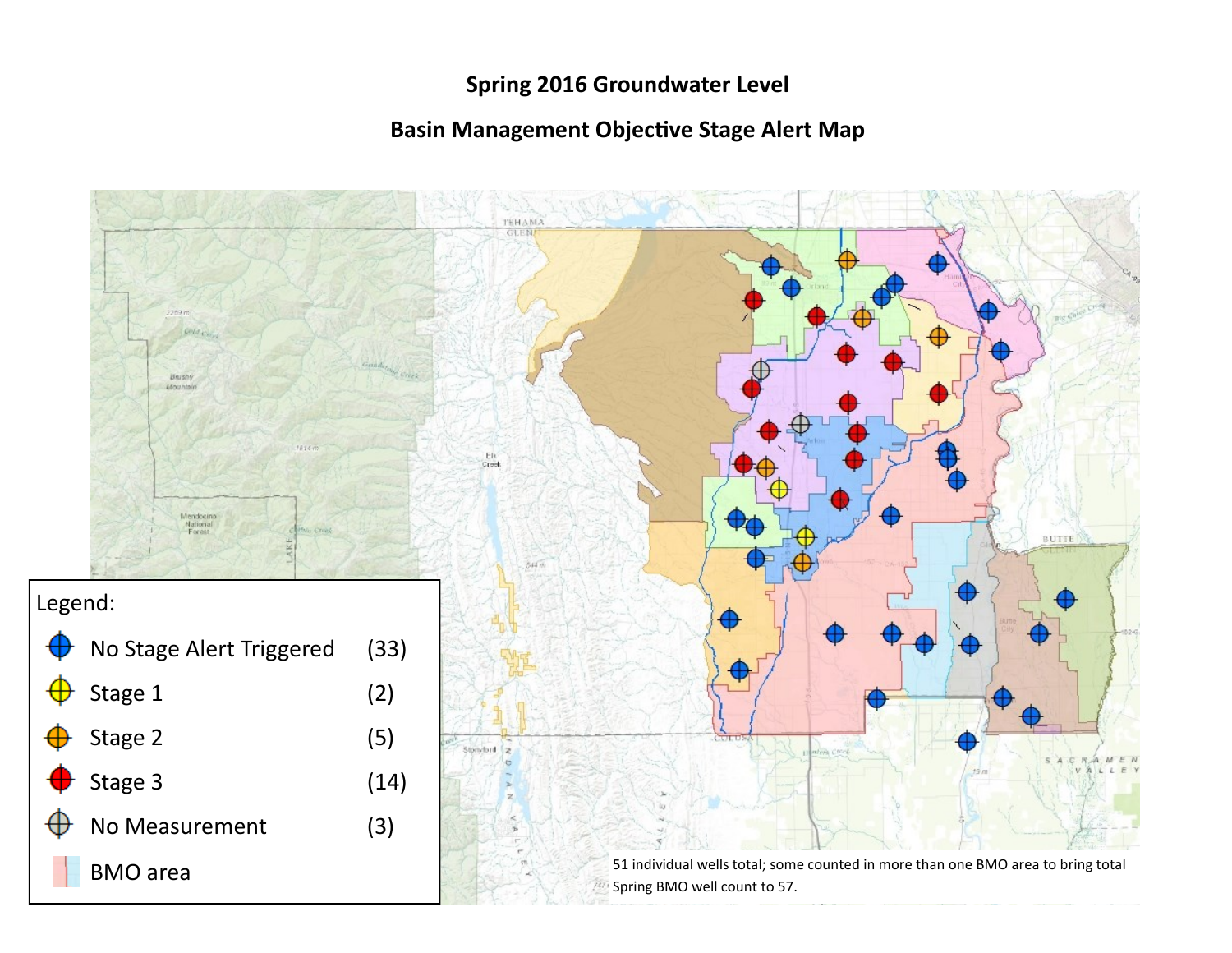## **Spring 2016 Groundwater Level**

## **Basin Management Objective Stage Alert Map**

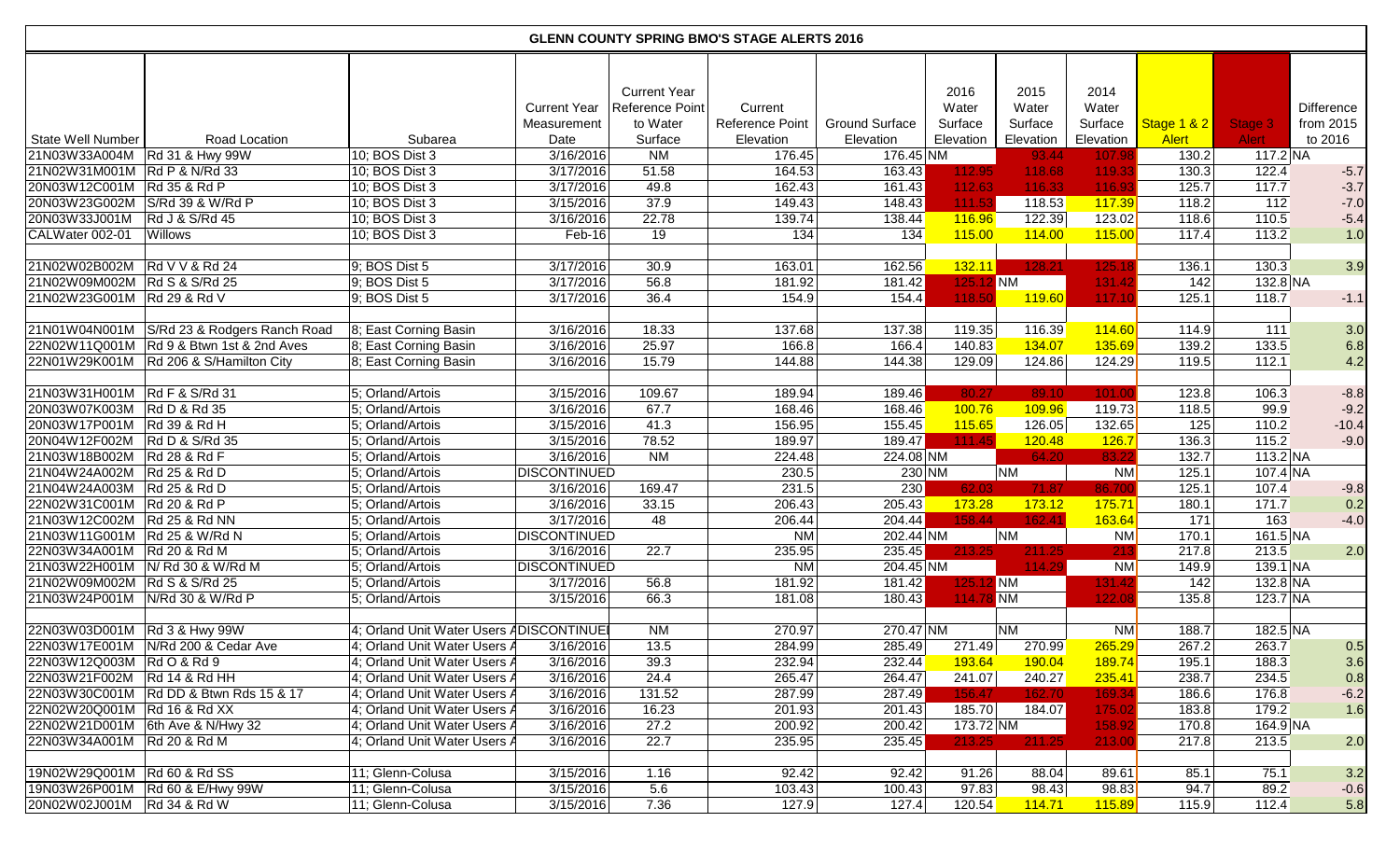| <b>GLENN COUNTY SPRING BMO'S STAGE ALERTS 2016</b> |                                          |                                         |                                            |                                                               |                                         |                                    |                                       |                                       |                                       |                             |                         |                                           |
|----------------------------------------------------|------------------------------------------|-----------------------------------------|--------------------------------------------|---------------------------------------------------------------|-----------------------------------------|------------------------------------|---------------------------------------|---------------------------------------|---------------------------------------|-----------------------------|-------------------------|-------------------------------------------|
| <b>State Well Number</b>                           | Road Location                            | Subarea                                 | <b>Current Year</b><br>Measurement<br>Date | <b>Current Year</b><br>Reference Point<br>to Water<br>Surface | Current<br>Reference Point<br>Elevation | <b>Ground Surface</b><br>Elevation | 2016<br>Water<br>Surface<br>Elevation | 2015<br>Water<br>Surface<br>Elevation | 2014<br>Water<br>Surface<br>Elevation | Stage 1 & 2<br><b>Alert</b> | Stage 3<br><b>Alert</b> | <b>Difference</b><br>from 2015<br>to 2016 |
| 21N03W33A004M   Rd 31 & Hwy 99W                    |                                          | 10; BOS Dist 3                          | 3/16/2016                                  | N <sub>M</sub>                                                | $\overline{176.45}$                     | 176.45 NM                          |                                       | 93.44                                 | 107.98                                | 130.2                       | $117.2$ NA              |                                           |
| 21N02W31M001M Rd P & N/Rd 33                       |                                          | 10; BOS Dist 3                          | 3/17/2016                                  | 51.58                                                         | 164.53                                  | 163.43                             | 112.95                                | 118.68                                | 119.33                                | 130.3                       | 122.4                   | $-5.7$                                    |
| 20N03W12C001M   Rd 35 & Rd P                       |                                          | 10; BOS Dist 3                          | 3/17/2016                                  | 49.8                                                          | 162.43                                  | 161.43                             | 112.63                                | 116.33                                | 116.93                                | 125.7                       | 117.7                   | $-3.7$                                    |
| 20N03W23G002M S/Rd 39 & W/Rd P                     |                                          | 10; BOS Dist 3                          | 3/15/2016                                  | 37.9                                                          | 149.43                                  | 148.43                             | 111.53                                | 118.53                                | 117.39                                | 118.2                       | 112                     | $-7.0$                                    |
| 20N03W33J001M                                      | Rd J & S/Rd 45                           | 10; BOS Dist 3                          | 3/16/2016                                  | 22.78                                                         | 139.74                                  | 138.44                             | 116.96                                | 122.39                                | 123.02                                | 118.6                       | 110.5                   | $-5.4$                                    |
| CALWater 002-01                                    | Willows                                  | 10; BOS Dist 3                          | Feb-16                                     | 19                                                            | 134                                     | 134                                | 115.00                                | 114.00                                | 115.00                                | 117.4                       | 113.2                   | 1.0                                       |
|                                                    |                                          |                                         |                                            |                                                               |                                         |                                    |                                       |                                       |                                       |                             |                         |                                           |
| 21N02W02B002M                                      | <b>Rd V V &amp; Rd 24</b>                | $9;$ BOS Dist 5                         | 3/17/2016                                  | 30.9                                                          | 163.01                                  | 162.56                             | 132.11                                | 128.21                                | 125.18                                | 136.1                       | 130.3                   | 3.9                                       |
| 21N02W09M002M Rd S & S/Rd 25                       |                                          | $9;$ BOS Dist 5                         | 3/17/2016                                  | 56.8                                                          | 181.92                                  | 181.42                             | 125.12 NM                             |                                       | 131.42                                | 142                         | $132.8$ NA              |                                           |
| 21N02W23G001M Rd 29 & Rd V                         |                                          | $9;$ BOS Dist 5                         | 3/17/2016                                  | 36.4                                                          | 154.9                                   | 154.4                              | 118.50                                | 119.60                                | 117.10                                | 125.1                       | 118.7                   | $-1.1$                                    |
|                                                    |                                          |                                         |                                            |                                                               |                                         |                                    |                                       |                                       |                                       |                             |                         |                                           |
| 21N01W04N001M                                      | S/Rd 23 & Rodgers Ranch Road             | 8; East Corning Basin                   | 3/16/2016                                  | 18.33                                                         | 137.68                                  | 137.38                             | 119.35                                | 116.39                                | 114.60                                | 114.9                       | 111                     | 3.0                                       |
|                                                    | 22N02W11Q001M Rd 9 & Btwn 1st & 2nd Aves | 8; East Corning Basin                   | 3/16/2016                                  | 25.97                                                         | 166.8                                   | 166.4                              | 140.83                                | 134.07                                | 135.69                                | 139.2                       | 133.5                   | 6.8                                       |
| 22N01W29K001M                                      | Rd 206 & S/Hamilton City                 | 8; East Corning Basin                   | 3/16/2016                                  | 15.79                                                         | 144.88                                  | 144.38                             | 129.09                                | 124.86                                | 124.29                                | 119.5                       | 112.1                   | 4.2                                       |
|                                                    |                                          |                                         |                                            |                                                               |                                         |                                    |                                       |                                       |                                       |                             |                         |                                           |
| 21N03W31H001M Rd F & S/Rd 31                       |                                          | 5; Orland/Artois                        | 3/15/2016                                  | 109.67                                                        | 189.94                                  | 189.46                             | 80.27                                 | 89.10                                 | 101.00                                | 123.8                       | 106.3                   | $-8.8$                                    |
| 20N03W07K003M                                      | <b>Rd D &amp; Rd 35</b>                  | 5; Orland/Artois                        | 3/16/2016                                  | 67.7                                                          | 168.46                                  | 168.46                             | 100.76                                | 109.96                                | 119.73                                | 118.5                       | 99.9                    | $-9.2$                                    |
| 20N03W17P001M                                      | <b>Rd 39 &amp; Rd H</b>                  | 5; Orland/Artois                        | 3/15/2016                                  | 41.3                                                          | 156.95                                  | 155.45                             | 115.65                                | 126.05                                | 132.65                                | 125                         | 110.2                   | $-10.4$                                   |
| 20N04W12F002M                                      | Rd D & S/Rd 35                           | 5; Orland/Artois                        | 3/15/2016                                  | 78.52                                                         | 189.97                                  | 189.47                             | 111.45                                | 120.48                                | 126.7                                 | 136.3                       | 115.2                   | $-9.0$                                    |
| 21N03W18B002M                                      | <b>Rd 28 &amp; Rd F</b>                  | 5; Orland/Artois                        | 3/16/2016                                  | N <sub>M</sub>                                                | 224.48                                  | 224.08 NM                          |                                       | 64.20                                 | 83.22                                 | 132.7                       | $113.2$ NA              |                                           |
| 21N04W24A002M                                      | <b>Rd 25 &amp; Rd D</b>                  | 5; Orland/Artois                        | <b>DISCONTINUED</b>                        |                                                               | 230.5                                   | 230 NM                             |                                       | NM                                    | <b>NM</b>                             | 125.1                       | $107.4$ NA              |                                           |
| 21N04W24A003M                                      | <b>Rd 25 &amp; Rd D</b>                  | 5; Orland/Artois                        | 3/16/2016                                  | 169.47                                                        | 231.5                                   | 230                                | 62.03                                 | 71.87                                 | 86.700                                | 125.1                       | 107.4                   | $-9.8$                                    |
| 22N02W31C001M Rd 20 & Rd P                         |                                          | 5; Orland/Artois                        | 3/16/2016                                  | 33.15                                                         | 206.43                                  | 205.43                             | 173.28                                | 173.12                                | 175.71                                | 180.1                       | 171.7                   | 0.2                                       |
| 21N03W12C002M Rd 25 & Rd NN                        |                                          | 5; Orland/Artois                        | 3/17/2016                                  | 48                                                            | 206.44                                  | 204.44                             | 158.44                                | 162.41                                | 163.64                                | $\overline{171}$            | 163                     | $-4.0$                                    |
| 21N03W11G001M Rd 25 & W/Rd N                       |                                          | 5; Orland/Artois                        | <b>DISCONTINUED</b>                        |                                                               | <b>NM</b>                               | 202.44 NM                          |                                       | $\overline{\text{NM}}$                | <b>NM</b>                             | 170.1                       | 161.5 NA                |                                           |
| 22N03W34A001M                                      | <b>Rd 20 &amp; Rd M</b>                  | 5; Orland/Artois                        | 3/16/2016                                  | 22.7                                                          | 235.95                                  | 235.45                             | 213.25                                | 211.25                                | 213                                   | 217.8                       | 213.5                   | 2.0                                       |
| 21N03W22H001M                                      | N/ Rd 30 & W/Rd M                        | 5; Orland/Artois                        | <b>DISCONTINUED</b>                        |                                                               | <b>NM</b>                               | 204.45 NM                          |                                       | 114.29                                | $N$ M                                 | 149.9                       | 139.1 NA                |                                           |
| 21N02W09M002M Rd S & S/Rd 25                       |                                          | 5; Orland/Artois                        | 3/17/2016                                  | 56.8                                                          | 181.92                                  | 181.42                             | 125.                                  | <b>12 NM</b>                          | 131.42                                | 142                         | $132.8$ NA              |                                           |
| 21N03W24P001M                                      | N/Rd 30 & W/Rd P                         | 5; Orland/Artois                        | 3/15/2016                                  | 66.3                                                          | 181.08                                  | 180.43                             | 114.78 NM                             |                                       | 122.08                                | 135.8                       | $123.7$ NA              |                                           |
|                                                    |                                          |                                         |                                            |                                                               |                                         |                                    |                                       |                                       |                                       |                             |                         |                                           |
| 22N03W03D001M   Rd 3 & Hwy 99W                     |                                          | 4; Orland Unit Water Users ADISCONTINUE |                                            | <b>NM</b>                                                     | 270.97                                  | 270.47 NM                          |                                       | N <sub>M</sub>                        | <b>NM</b>                             | 188.7                       | $182.5$ NA              |                                           |
|                                                    | 22N03W17E001M N/Rd 200 & Cedar Ave       | 4; Orland Unit Water Users A            | 3/16/2016                                  | 13.5                                                          | 284.99                                  | 285.49                             | 271.49                                | 270.99                                | 265.29                                | 267.2                       | 263.7                   | 0.5                                       |
| 22N03W12Q003M Rd O & Rd 9                          |                                          | 4; Orland Unit Water Users A            | 3/16/2016                                  | 39.3                                                          | 232.94                                  | 232.44                             | 193.64                                | 190.04                                | 189.74                                | 195.1                       | 188.3                   | 3.6                                       |
| 22N03W21F002M Rd 14 & Rd HH                        |                                          | 4; Orland Unit Water Users /            | 3/16/2016                                  | 24.4                                                          | 265.47                                  | 264.47                             | 241.07                                | 240.27                                | 235.41                                | 238.7                       | 234.5                   | 0.8                                       |
|                                                    | 22N03W30C001M Rd DD & Btwn Rds 15 & 17   | 4; Orland Unit Water Users A            | 3/16/2016                                  | 131.52                                                        | 287.99                                  | 287.49                             | 156.47                                | 162.70                                | 169.34                                | 186.6                       | 176.8                   | $-6.2$                                    |
| 22N02W20Q001M Rd 16 & Rd XX                        |                                          | 4; Orland Unit Water Users A            | 3/16/2016                                  | 16.23                                                         | 201.93                                  | 201.43                             | 185.70                                | 184.07                                | 175.02                                | 183.8                       | 179.2                   | 1.6                                       |
| 22N02W21D001M                                      | 6th Ave & N/Hwy 32                       | 4; Orland Unit Water Users A            | 3/16/2016                                  | 27.2                                                          | 200.92                                  | 200.42                             | 173.72 NM                             |                                       | 158.92                                | 170.8                       | $164.9$ NA              |                                           |
| 22N03W34A001M   Rd 20 & Rd M                       |                                          | 4; Orland Unit Water Users A            | 3/16/2016                                  | 22.7                                                          | 235.95                                  | 235.45                             | 213.25                                | 211.25                                | 213.00                                | 217.8                       | 213.5                   | 2.0                                       |
|                                                    |                                          | 11; Glenn-Colusa                        | 3/15/2016                                  |                                                               |                                         |                                    | 91.26                                 |                                       |                                       |                             |                         |                                           |
| 19N02W29Q001M   Rd 60 & Rd SS                      | 19N03W26P001M   Rd 60 & E/Hwy 99W        | 11; Glenn-Colusa                        | 3/15/2016                                  | 1.16<br>5.6                                                   | 92.42<br>103.43                         | 92.42<br>100.43                    | 97.83                                 | 88.04<br>98.43                        | 89.61<br>98.83                        | 85.1<br>94.7                | 75.1<br>89.2            | 3.2<br>$-0.6$                             |
| 20N02W02J001M                                      | <b>Rd 34 &amp; Rd W</b>                  | 11; Glenn-Colusa                        | 3/15/2016                                  | 7.36                                                          | 127.9                                   | 127.4                              | 120.54                                | 114.71                                | 115.89                                | 115.9                       | 112.4                   | 5.8                                       |
|                                                    |                                          |                                         |                                            |                                                               |                                         |                                    |                                       |                                       |                                       |                             |                         |                                           |